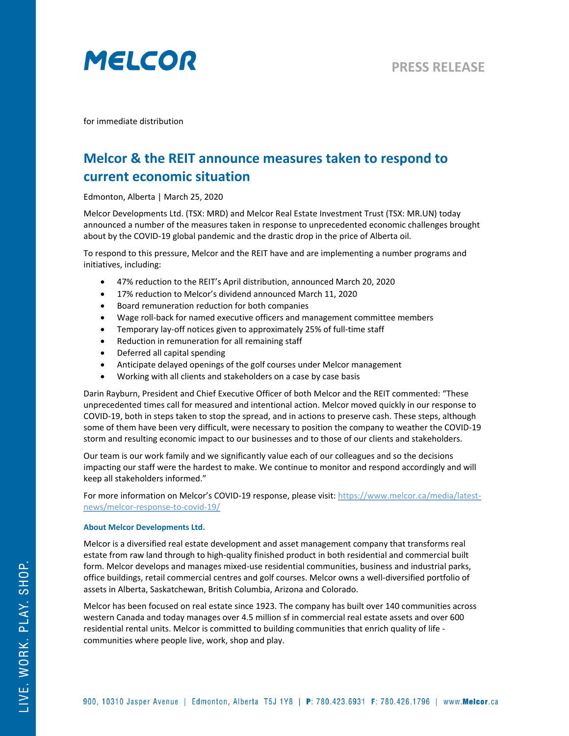

for immediate distribution

## **Melcor & the REIT announce measures taken to respond to current economic situation**

Edmonton, Alberta | March 25, 2020

Melcor Developments Ltd. (TSX: MRD) and Melcor Real Estate Investment Trust (TSX: MR.UN) today announced a number of the measures taken in response to unprecedented economic challenges brought about by the COVID-19 global pandemic and the drastic drop in the price of Alberta oil.

To respond to this pressure, Melcor and the REIT have and are implementing a number programs and initiatives, including:

- 47% reduction to the REIT's April distribution, announced March 20, 2020
- 17% reduction to Melcor's dividend announced March 11, 2020
- Board remuneration reduction for both companies
- Wage roll-back for named executive officers and management committee members
- Temporary lay-off notices given to approximately 25% of full-time staff
- Reduction in remuneration for all remaining staff
- Deferred all capital spending
- Anticipate delayed openings of the golf courses under Melcor management
- Working with all clients and stakeholders on a case by case basis

Darin Rayburn, President and Chief Executive Officer of both Melcor and the REIT commented: "These unprecedented times call for measured and intentional action. Melcor moved quickly in our response to COVID-19, both in steps taken to stop the spread, and in actions to preserve cash. These steps, although some of them have been very difficult, were necessary to position the company to weather the COVID-19 storm and resulting economic impact to our businesses and to those of our clients and stakeholders.

Our team is our work family and we significantly value each of our colleagues and so the decisions impacting our staff were the hardest to make. We continue to monitor and respond accordingly and will keep all stakeholders informed."

For more information on Melcor's COVID-19 response, please visit: [https://www.melcor.ca/media/latest](https://www.melcor.ca/media/latest-news/melcor-response-to-covid-19/)[news/melcor-response-to-covid-19/](https://www.melcor.ca/media/latest-news/melcor-response-to-covid-19/)

## **About Melcor Developments Ltd.**

Melcor is a diversified real estate development and asset management company that transforms real estate from raw land through to high-quality finished product in both residential and commercial built form. Melcor develops and manages mixed-use residential communities, business and industrial parks, office buildings, retail commercial centres and golf courses. Melcor owns a well-diversified portfolio of assets in Alberta, Saskatchewan, British Columbia, Arizona and Colorado.

Melcor has been focused on real estate since 1923. The company has built over 140 communities across western Canada and today manages over 4.5 million sf in commercial real estate assets and over 600 residential rental units. Melcor is committed to building communities that enrich quality of life communities where people live, work, shop and play.